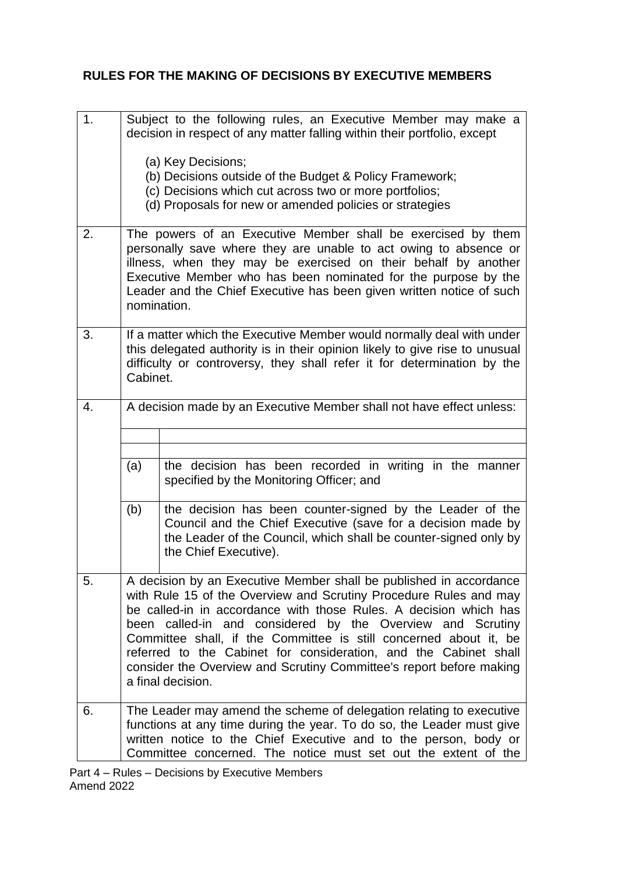## **RULES FOR THE MAKING OF DECISIONS BY EXECUTIVE MEMBERS**

| 1. | Subject to the following rules, an Executive Member may make a<br>decision in respect of any matter falling within their portfolio, except                                                                                                                                                                                                                                                                                                                                                                      |                                                                                                                                                                                                                        |  |
|----|-----------------------------------------------------------------------------------------------------------------------------------------------------------------------------------------------------------------------------------------------------------------------------------------------------------------------------------------------------------------------------------------------------------------------------------------------------------------------------------------------------------------|------------------------------------------------------------------------------------------------------------------------------------------------------------------------------------------------------------------------|--|
|    | (a) Key Decisions;<br>(b) Decisions outside of the Budget & Policy Framework;<br>(c) Decisions which cut across two or more portfolios;<br>(d) Proposals for new or amended policies or strategies                                                                                                                                                                                                                                                                                                              |                                                                                                                                                                                                                        |  |
| 2. | The powers of an Executive Member shall be exercised by them<br>personally save where they are unable to act owing to absence or<br>illness, when they may be exercised on their behalf by another<br>Executive Member who has been nominated for the purpose by the<br>Leader and the Chief Executive has been given written notice of such<br>nomination.                                                                                                                                                     |                                                                                                                                                                                                                        |  |
| 3. | If a matter which the Executive Member would normally deal with under<br>this delegated authority is in their opinion likely to give rise to unusual<br>difficulty or controversy, they shall refer it for determination by the<br>Cabinet.                                                                                                                                                                                                                                                                     |                                                                                                                                                                                                                        |  |
| 4. | A decision made by an Executive Member shall not have effect unless:                                                                                                                                                                                                                                                                                                                                                                                                                                            |                                                                                                                                                                                                                        |  |
|    |                                                                                                                                                                                                                                                                                                                                                                                                                                                                                                                 |                                                                                                                                                                                                                        |  |
|    | (a)                                                                                                                                                                                                                                                                                                                                                                                                                                                                                                             | the decision has been recorded in writing in the manner<br>specified by the Monitoring Officer; and                                                                                                                    |  |
|    | (b)                                                                                                                                                                                                                                                                                                                                                                                                                                                                                                             | the decision has been counter-signed by the Leader of the<br>Council and the Chief Executive (save for a decision made by<br>the Leader of the Council, which shall be counter-signed only by<br>the Chief Executive). |  |
| 5. | A decision by an Executive Member shall be published in accordance<br>with Rule 15 of the Overview and Scrutiny Procedure Rules and may<br>be called-in in accordance with those Rules. A decision which has<br>been called-in and considered by the Overview and Scrutiny<br>Committee shall, if the Committee is still concerned about it, be<br>referred to the Cabinet for consideration, and the Cabinet shall<br>consider the Overview and Scrutiny Committee's report before making<br>a final decision. |                                                                                                                                                                                                                        |  |
| 6. | The Leader may amend the scheme of delegation relating to executive<br>functions at any time during the year. To do so, the Leader must give<br>written notice to the Chief Executive and to the person, body or<br>Committee concerned. The notice must set out the extent of the                                                                                                                                                                                                                              |                                                                                                                                                                                                                        |  |

Part 4 – Rules – Decisions by Executive Members Amend 2022